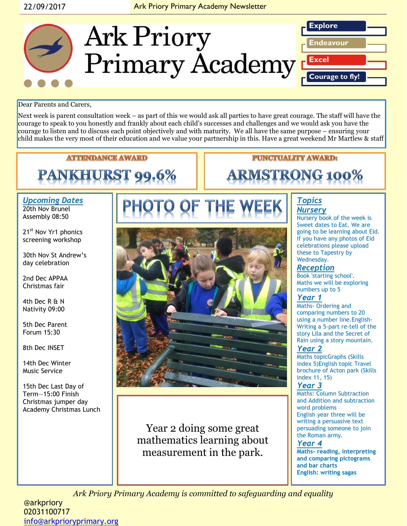# 22/09/2017 **Ark Priory Primary Academy Newsletter**



#### Dear Parents and Carers,

Next week is parent consultation week – as part of this we would ask all parties to have great courage. The staff will have the courage to speak to you honestly and frankly about each child's successes and challenges and we would ask you have the courage to listen and to discuss each point objectively and with maturity. We all have the same purpose – ensuring your child makes the very most of their education and we value your partnership in this. Have a great weekend Mr Martlew & staff

**ATTENDANCE AWARD** 

# **PANKHURST 99.6%**

#### *Upcoming Dates* 20th Nov Brunel Assembly 08:50

21<sup>st</sup> Nov Yr1 phonics screening workshop

30th Nov St Andrew's day celebration

2nd Dec APPAA Christmas fair

4th Dec R & N Nativity 09:00

5th Dec Parent Forum 15:30

8th Dec INSET

14th Dec Winter Music Service

15th Dec Last Day of Term—15:00 Finish Christmas jumper day Academy Christmas Lunch



Year 2 doing some great mathematics learning about measurement in the park.

# **PUNCTUALITY AWARD:**

# **ARMSTRONG 100%**

#### *Topics Nursery*

Nursery book of the week is Sweet dates to Eat. We are going to be learning about Eid. If you have any photos of Eid celebrations please upload these to Tapestry by Wednesday.

# *Reception*

Book 'starting school'. Maths we will be exploring numbers up to 5

#### *Year 1*

Maths- Ordering and comparing numbers to 20 using a number line.English-Writing a 5-part re-tell of the story Lila and the Secret of Rain using a story mountain.

#### *Year 2*

Maths topicGraphs (Skills index 5)English topic Travel brochure of Acton park (Skills index 11, 15)

#### *Year 3*

Maths: Column Subtraction and Addition and subtraction word problems English year three will be writing a persuasive text persuading someone to join the Roman army.

### *Year 4*

**Maths- reading, interpreting and comparing pictograms and bar charts English: writing sagas**

*Ark Priory Primary Academy is committed to safeguarding and equality* 

@arkpriory 02031100717 [info@arkprioryprimary.org](mailto:info@arkprioryprimary.org)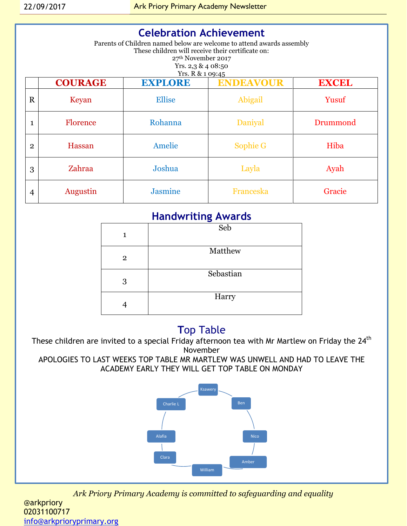| <b>Celebration Achievement</b><br>Parents of Children named below are welcome to attend awards assembly<br>These children will receive their certificate on:<br>27 <sup>th</sup> November 2017<br>Yrs. $2,3$ & 4 08:50<br>Yrs. R & 1 09:45 |                 |                |                  |              |  |
|--------------------------------------------------------------------------------------------------------------------------------------------------------------------------------------------------------------------------------------------|-----------------|----------------|------------------|--------------|--|
|                                                                                                                                                                                                                                            | <b>COURAGE</b>  | <b>EXPLORE</b> | <b>ENDEAVOUR</b> | <b>EXCEL</b> |  |
| $\mathbf R$                                                                                                                                                                                                                                | Keyan           | <b>Ellise</b>  | Abigail          | Yusuf        |  |
| 1                                                                                                                                                                                                                                          | <b>Florence</b> | Rohanna        | Daniyal          | Drummond     |  |
| $\overline{2}$                                                                                                                                                                                                                             | Hassan          | Amelie         | <b>Sophie G</b>  | Hiba         |  |
| 3                                                                                                                                                                                                                                          | Zahraa          | Joshua         | Layla            | Ayah         |  |
| 4                                                                                                                                                                                                                                          | <b>Augustin</b> | <b>Jasmine</b> | <b>Franceska</b> | Gracie       |  |

# **Handwriting Awards**

| 1              | Seb       |
|----------------|-----------|
| $\overline{2}$ | Matthew   |
| 3              | Sebastian |
|                | Harry     |

# **T**op Table

These children are invited to a special Friday afternoon tea with Mr Martlew on Friday the 24<sup>th</sup> November

APOLOGIES TO LAST WEEKS TOP TABLE MR MARTLEW WAS UNWELL AND HAD TO LEAVE THE ACADEMY EARLY THEY WILL GET TOP TABLE ON MONDAY



*Ark Priory Primary Academy is committed to safeguarding and equality* 

@arkpriory 02031100717 [info@arkprioryprimary.org](mailto:info@arkprioryprimary.org)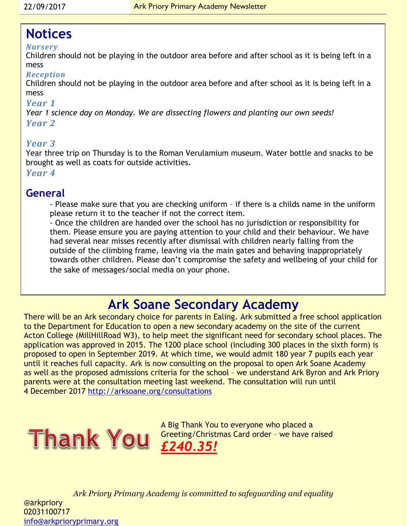# **Notices**

# *Nursery*

Children should not be playing in the outdoor area before and after school as it is being left in a mess

# *Reception*

Children should not be playing in the outdoor area before and after school as it is being left in a mess

# *Year 1*

*Year 1 science day on Monday. We are dissecting flowers and planting our own seeds! Year 2* 

# *Year 3*

Year three trip on Thursday is to the Roman Verulamium museum. Water bottle and snacks to be brought as well as coats for outside activities.

*Year 4*

# **General**

- Please make sure that you are checking uniform – if there is a childs name in the uniform please return it to the teacher if not the correct item.

- Once the children are handed over the school has no jurisdiction or responsibility for them. Please ensure you are paying attention to your child and their behaviour. We have had several near misses recently after dismissal with children nearly falling from the outside of the climbing frame, leaving via the main gates and behaving inappropriately towards other children. Please don't compromise the safety and wellbeing of your child for the sake of messages/social media on your phone.

# **Ark Soane Secondary Academy**

There will be an Ark secondary choice for parents in Ealing. Ark submitted a free school application to the Department for Education to open a new secondary academy on the site of the current Acton College (MillHillRoad W3), to help meet the significant need for secondary school places. The application was approved in 2015. The 1200 place school (including 300 places in the sixth form) is proposed to open in September 2019. At which time, we would admit 180 year 7 pupils each year until it reaches full capacity. Ark is now consulting on the proposal to open Ark Soane Academy as well as the proposed admissions criteria for the school – we understand Ark Byron and Ark Priory parents were at the consultation meeting last weekend. The consultation will run until 4 December 2017<http://arksoane.org/consultations>



A Big Thank You to everyone who placed a Greeting/Christmas Card order – we have raised *£240.35!*

*Ark Priory Primary Academy is committed to safeguarding and equality*  @arkpriory 02031100717 [info@arkprioryprimary.org](mailto:info@arkprioryprimary.org)